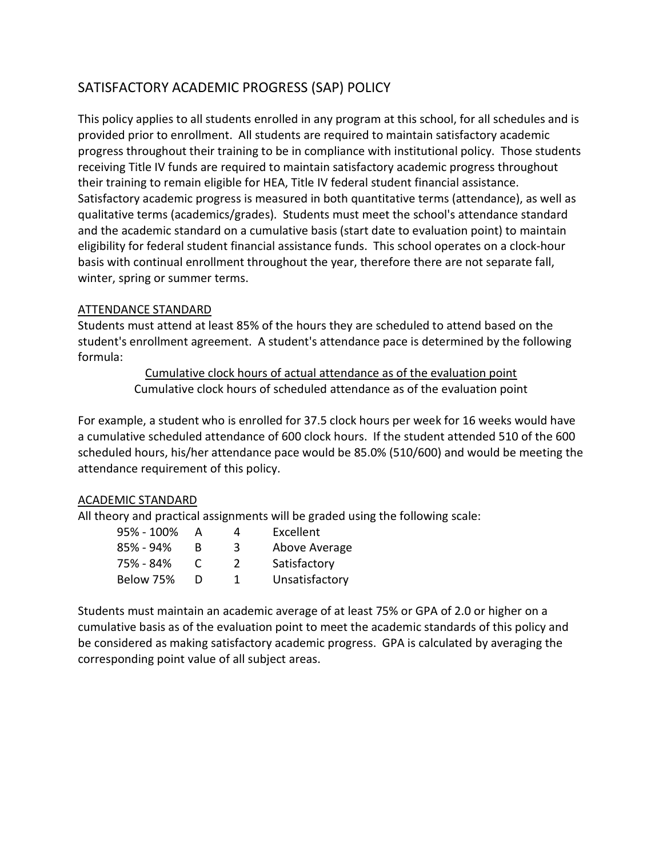# SATISFACTORY ACADEMIC PROGRESS (SAP) POLICY

This policy applies to all students enrolled in any program at this school, for all schedules and is provided prior to enrollment. All students are required to maintain satisfactory academic progress throughout their training to be in compliance with institutional policy. Those students receiving Title IV funds are required to maintain satisfactory academic progress throughout their training to remain eligible for HEA, Title IV federal student financial assistance. Satisfactory academic progress is measured in both quantitative terms (attendance), as well as qualitative terms (academics/grades). Students must meet the school's attendance standard and the academic standard on a cumulative basis (start date to evaluation point) to maintain eligibility for federal student financial assistance funds. This school operates on a clock-hour basis with continual enrollment throughout the year, therefore there are not separate fall, winter, spring or summer terms.

### ATTENDANCE STANDARD

Students must attend at least 85% of the hours they are scheduled to attend based on the student's enrollment agreement. A student's attendance pace is determined by the following formula:

> Cumulative clock hours of actual attendance as of the evaluation point Cumulative clock hours of scheduled attendance as of the evaluation point

For example, a student who is enrolled for 37.5 clock hours per week for 16 weeks would have a cumulative scheduled attendance of 600 clock hours. If the student attended 510 of the 600 scheduled hours, his/her attendance pace would be 85.0% (510/600) and would be meeting the attendance requirement of this policy.

## ACADEMIC STANDARD

All theory and practical assignments will be graded using the following scale:

| 95% - 100% | A             | 4        | Excellent      |
|------------|---------------|----------|----------------|
| 85% - 94%  | R             | -3.      | Above Average  |
| 75% - 84%  | $\mathcal{L}$ | <u>)</u> | Satisfactory   |
| Below 75%  |               | 1        | Unsatisfactory |

Students must maintain an academic average of at least 75% or GPA of 2.0 or higher on a cumulative basis as of the evaluation point to meet the academic standards of this policy and be considered as making satisfactory academic progress. GPA is calculated by averaging the corresponding point value of all subject areas.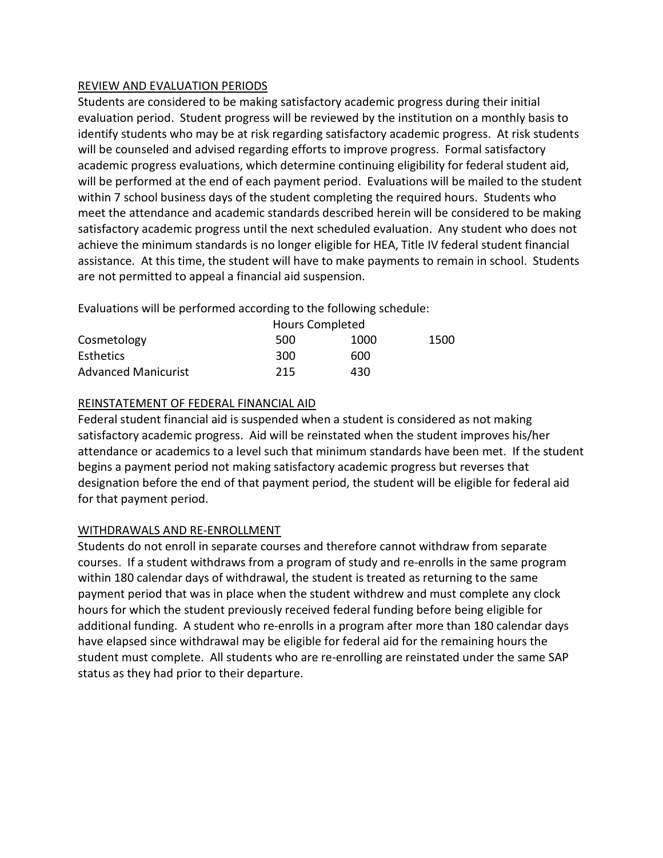### REVIEW AND EVALUATION PERIODS

Students are considered to be making satisfactory academic progress during their initial evaluation period. Student progress will be reviewed by the institution on a monthly basis to identify students who may be at risk regarding satisfactory academic progress. At risk students will be counseled and advised regarding efforts to improve progress. Formal satisfactory academic progress evaluations, which determine continuing eligibility for federal student aid, will be performed at the end of each payment period. Evaluations will be mailed to the student within 7 school business days of the student completing the required hours. Students who meet the attendance and academic standards described herein will be considered to be making satisfactory academic progress until the next scheduled evaluation. Any student who does not achieve the minimum standards is no longer eligible for HEA, Title IV federal student financial assistance. At this time, the student will have to make payments to remain in school. Students are not permitted to appeal a financial aid suspension.

Evaluations will be performed according to the following schedule:

|                            | <b>Hours Completed</b> |      |      |
|----------------------------|------------------------|------|------|
| Cosmetology                | 500                    | 1000 | 1500 |
| <b>Esthetics</b>           | 300                    | 600  |      |
| <b>Advanced Manicurist</b> | 215                    | 430  |      |

### REINSTATEMENT OF FEDERAL FINANCIAL AID

Federal student financial aid is suspended when a student is considered as not making satisfactory academic progress. Aid will be reinstated when the student improves his/her attendance or academics to a level such that minimum standards have been met. If the student begins a payment period not making satisfactory academic progress but reverses that designation before the end of that payment period, the student will be eligible for federal aid for that payment period.

## WITHDRAWALS AND RE-ENROLLMENT

Students do not enroll in separate courses and therefore cannot withdraw from separate courses. If a student withdraws from a program of study and re-enrolls in the same program within 180 calendar days of withdrawal, the student is treated as returning to the same payment period that was in place when the student withdrew and must complete any clock hours for which the student previously received federal funding before being eligible for additional funding. A student who re-enrolls in a program after more than 180 calendar days have elapsed since withdrawal may be eligible for federal aid for the remaining hours the student must complete. All students who are re-enrolling are reinstated under the same SAP status as they had prior to their departure.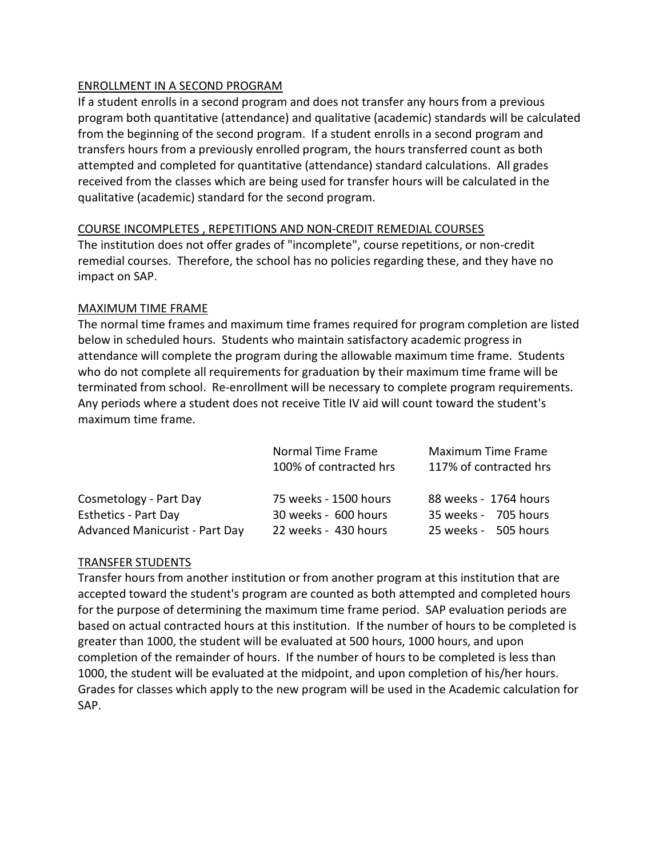### ENROLLMENT IN A SECOND PROGRAM

If a student enrolls in a second program and does not transfer any hours from a previous program both quantitative (attendance) and qualitative (academic) standards will be calculated from the beginning of the second program. If a student enrolls in a second program and transfers hours from a previously enrolled program, the hours transferred count as both attempted and completed for quantitative (attendance) standard calculations. All grades received from the classes which are being used for transfer hours will be calculated in the qualitative (academic) standard for the second program.

### COURSE INCOMPLETES , REPETITIONS AND NON-CREDIT REMEDIAL COURSES

The institution does not offer grades of "incomplete", course repetitions, or non-credit remedial courses. Therefore, the school has no policies regarding these, and they have no impact on SAP.

### MAXIMUM TIME FRAME

The normal time frames and maximum time frames required for program completion are listed below in scheduled hours. Students who maintain satisfactory academic progress in attendance will complete the program during the allowable maximum time frame. Students who do not complete all requirements for graduation by their maximum time frame will be terminated from school. Re-enrollment will be necessary to complete program requirements. Any periods where a student does not receive Title IV aid will count toward the student's maximum time frame.

|                                       | Normal Time Frame<br>100% of contracted hrs | Maximum Time Frame<br>117% of contracted hrs |
|---------------------------------------|---------------------------------------------|----------------------------------------------|
| Cosmetology - Part Day                | 75 weeks - 1500 hours                       | 88 weeks - 1764 hours                        |
| <b>Esthetics - Part Day</b>           | 30 weeks - 600 hours                        | 35 weeks - 705 hours                         |
| <b>Advanced Manicurist - Part Day</b> | 22 weeks - 430 hours                        | 25 weeks - 505 hours                         |

#### TRANSFER STUDENTS

Transfer hours from another institution or from another program at this institution that are accepted toward the student's program are counted as both attempted and completed hours for the purpose of determining the maximum time frame period. SAP evaluation periods are based on actual contracted hours at this institution. If the number of hours to be completed is greater than 1000, the student will be evaluated at 500 hours, 1000 hours, and upon completion of the remainder of hours. If the number of hours to be completed is less than 1000, the student will be evaluated at the midpoint, and upon completion of his/her hours. Grades for classes which apply to the new program will be used in the Academic calculation for SAP.